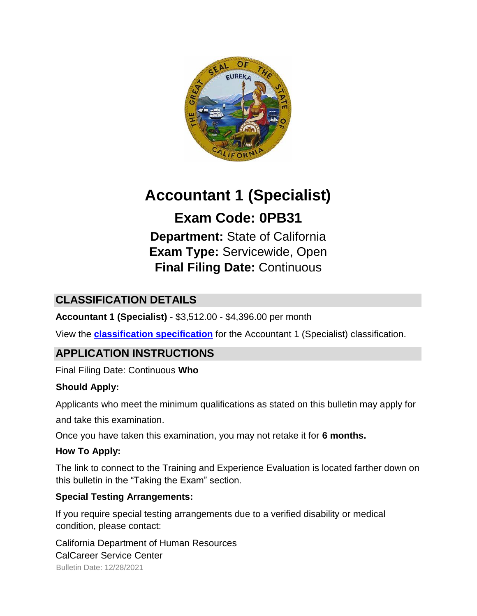

# **Accountant 1 (Specialist)**

## **Exam Code: 0PB31**

**Department:** State of California **Exam Type:** Servicewide, Open **Final Filing Date:** Continuous

## **CLASSIFICATION DETAILS**

**Accountant 1 (Specialist)** - \$3,512.00 - \$4,396.00 per month

View the **[classification specification](http://www.calhr.ca.gov/state-hr-professionals/pages/4177.aspx)** for the Accountant 1 (Specialist) classification.

## **APPLICATION INSTRUCTIONS**

Final Filing Date: Continuous **Who** 

#### **Should Apply:**

Applicants who meet the minimum qualifications as stated on this bulletin may apply for and take this examination.

Once you have taken this examination, you may not retake it for **6 months.**

#### **How To Apply:**

The link to connect to the Training and Experience Evaluation is located farther down on this bulletin in the "Taking the Exam" section.

#### **Special Testing Arrangements:**

If you require special testing arrangements due to a verified disability or medical condition, please contact:

Bulletin Date: 12/28/2021 California Department of Human Resources CalCareer Service Center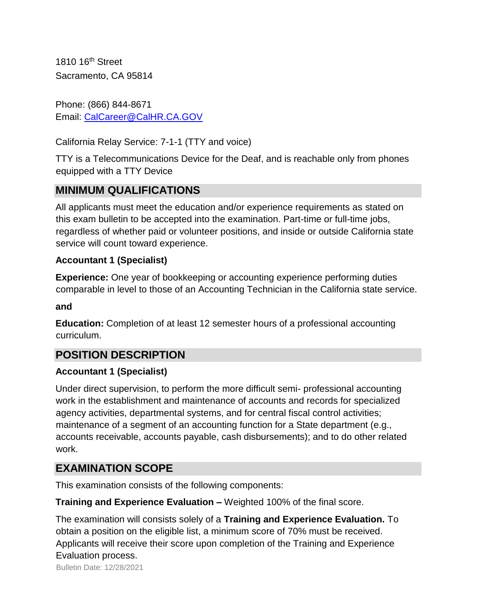1810 16th Street Sacramento, CA 95814

Phone: (866) 844-8671 Email: CalCareer@CalHR.CA.GOV

California Relay Service: 7-1-1 (TTY and voice)

TTY is a Telecommunications Device for the Deaf, and is reachable only from phones equipped with a TTY Device

## **MINIMUM QUALIFICATIONS**

All applicants must meet the education and/or experience requirements as stated on this exam bulletin to be accepted into the examination. Part-time or full-time jobs, regardless of whether paid or volunteer positions, and inside or outside California state service will count toward experience.

#### **Accountant 1 (Specialist)**

**Experience:** One year of bookkeeping or accounting experience performing duties comparable in level to those of an Accounting Technician in the California state service.

#### **and**

**Education:** Completion of at least 12 semester hours of a professional accounting curriculum.

## **POSITION DESCRIPTION**

#### **Accountant 1 (Specialist)**

Under direct supervision, to perform the more difficult semi- professional accounting work in the establishment and maintenance of accounts and records for specialized agency activities, departmental systems, and for central fiscal control activities; maintenance of a segment of an accounting function for a State department (e.g., accounts receivable, accounts payable, cash disbursements); and to do other related work.

## **EXAMINATION SCOPE**

This examination consists of the following components:

**Training and Experience Evaluation –** Weighted 100% of the final score.

The examination will consists solely of a **Training and Experience Evaluation.** To obtain a position on the eligible list, a minimum score of 70% must be received. Applicants will receive their score upon completion of the Training and Experience Evaluation process.

Bulletin Date: 12/28/2021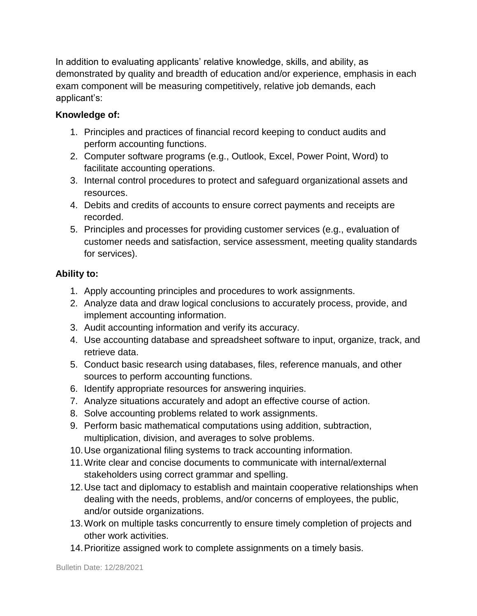In addition to evaluating applicants' relative knowledge, skills, and ability, as demonstrated by quality and breadth of education and/or experience, emphasis in each exam component will be measuring competitively, relative job demands, each applicant's:

#### **Knowledge of:**

- 1. Principles and practices of financial record keeping to conduct audits and perform accounting functions.
- 2. Computer software programs (e.g., Outlook, Excel, Power Point, Word) to facilitate accounting operations.
- 3. Internal control procedures to protect and safeguard organizational assets and resources.
- 4. Debits and credits of accounts to ensure correct payments and receipts are recorded.
- 5. Principles and processes for providing customer services (e.g., evaluation of customer needs and satisfaction, service assessment, meeting quality standards for services).

#### **Ability to:**

- 1. Apply accounting principles and procedures to work assignments.
- 2. Analyze data and draw logical conclusions to accurately process, provide, and implement accounting information.
- 3. Audit accounting information and verify its accuracy.
- 4. Use accounting database and spreadsheet software to input, organize, track, and retrieve data.
- 5. Conduct basic research using databases, files, reference manuals, and other sources to perform accounting functions.
- 6. Identify appropriate resources for answering inquiries.
- 7. Analyze situations accurately and adopt an effective course of action.
- 8. Solve accounting problems related to work assignments.
- 9. Perform basic mathematical computations using addition, subtraction, multiplication, division, and averages to solve problems.
- 10.Use organizational filing systems to track accounting information.
- 11.Write clear and concise documents to communicate with internal/external stakeholders using correct grammar and spelling.
- 12.Use tact and diplomacy to establish and maintain cooperative relationships when dealing with the needs, problems, and/or concerns of employees, the public, and/or outside organizations.
- 13.Work on multiple tasks concurrently to ensure timely completion of projects and other work activities.
- 14.Prioritize assigned work to complete assignments on a timely basis.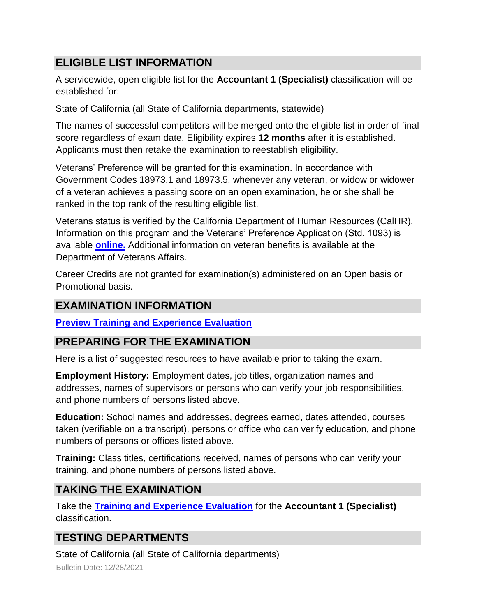## **ELIGIBLE LIST INFORMATION**

A servicewide, open eligible list for the **Accountant 1 (Specialist)** classification will be established for:

State of California (all State of California departments, statewide)

The names of successful competitors will be merged onto the eligible list in order of final score regardless of exam date. Eligibility expires **12 months** after it is established. Applicants must then retake the examination to reestablish eligibility.

Veterans' Preference will be granted for this examination. In accordance with Government Codes 18973.1 and 18973.5, whenever any veteran, or widow or widower of a veteran achieves a passing score on an open examination, he or she shall be ranked in the top rank of the resulting eligible list.

Veterans status is verified by the California Department of Human Resources (CalHR). Information on this program and the Veterans' Preference Application (Std. 1093) is available **[online.](https://www.jobs.ca.gov/CalHRPublic/Landing/Jobs/VeteransInformation.aspx)** [A](https://www.jobs.ca.gov/CalHRPublic/Landing/Jobs/VeteransInformation.aspx)dditional information on veteran benefits is available at the Department of Veterans Affairs.

Career Credits are not granted for examination(s) administered on an Open basis or Promotional basis.

## **EXAMINATION INFORMATION**

**[Preview Training and Experience Evaluation](https://jobs.ca.gov/jobsgen/0PB31A.pdf)**

## **PREPARING FOR THE EXAMINATION**

Here is a list of suggested resources to have available prior to taking the exam.

**Employment History:** Employment dates, job titles, organization names and addresses, names of supervisors or persons who can verify your job responsibilities, and phone numbers of persons listed above.

**Education:** School names and addresses, degrees earned, dates attended, courses taken (verifiable on a transcript), persons or office who can verify education, and phone numbers of persons or offices listed above.

**Training:** Class titles, certifications received, names of persons who can verify your training, and phone numbers of persons listed above.

## **TAKING THE EXAMINATION**

Take the **[Training and Experience Evaluation](https://jobs.ca.gov/public/login.aspx?ExamId=0PB31)** for the **Accountant 1 (Specialist)**  classification.

## **TESTING DEPARTMENTS**

State of California (all State of California departments)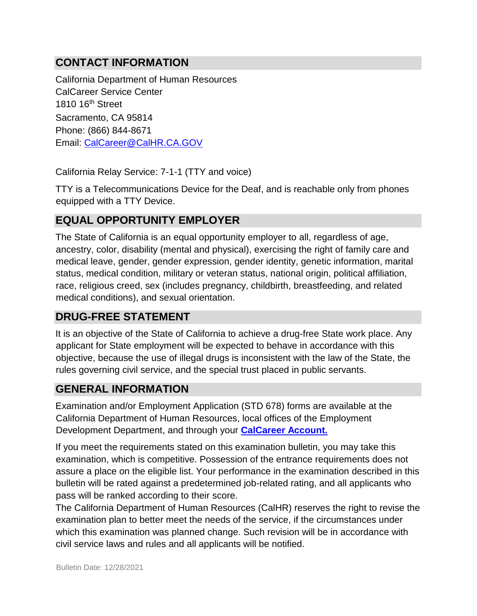## **CONTACT INFORMATION**

California Department of Human Resources CalCareer Service Center 1810 16<sup>th</sup> Street Sacramento, CA 95814 Phone: (866) 844-8671 Email: CalCareer@CalHR.CA.GOV

California Relay Service: 7-1-1 (TTY and voice)

TTY is a Telecommunications Device for the Deaf, and is reachable only from phones equipped with a TTY Device.

#### **EQUAL OPPORTUNITY EMPLOYER**

The State of California is an equal opportunity employer to all, regardless of age, ancestry, color, disability (mental and physical), exercising the right of family care and medical leave, gender, gender expression, gender identity, genetic information, marital status, medical condition, military or veteran status, national origin, political affiliation, race, religious creed, sex (includes pregnancy, childbirth, breastfeeding, and related medical conditions), and sexual orientation.

## **DRUG-FREE STATEMENT**

It is an objective of the State of California to achieve a drug-free State work place. Any applicant for State employment will be expected to behave in accordance with this objective, because the use of illegal drugs is inconsistent with the law of the State, the rules governing civil service, and the special trust placed in public servants.

#### **GENERAL INFORMATION**

Examination and/or Employment Application (STD 678) forms are available at the California Department of Human Resources, local offices of the Employment Development Department, and through your **[CalCareer Account.](http://www.jobs.ca.gov/)**

If you meet the requirements stated on this examination bulletin, you may take this examination, which is competitive. Possession of the entrance requirements does not assure a place on the eligible list. Your performance in the examination described in this bulletin will be rated against a predetermined job-related rating, and all applicants who pass will be ranked according to their score.

The California Department of Human Resources (CalHR) reserves the right to revise the examination plan to better meet the needs of the service, if the circumstances under which this examination was planned change. Such revision will be in accordance with civil service laws and rules and all applicants will be notified.